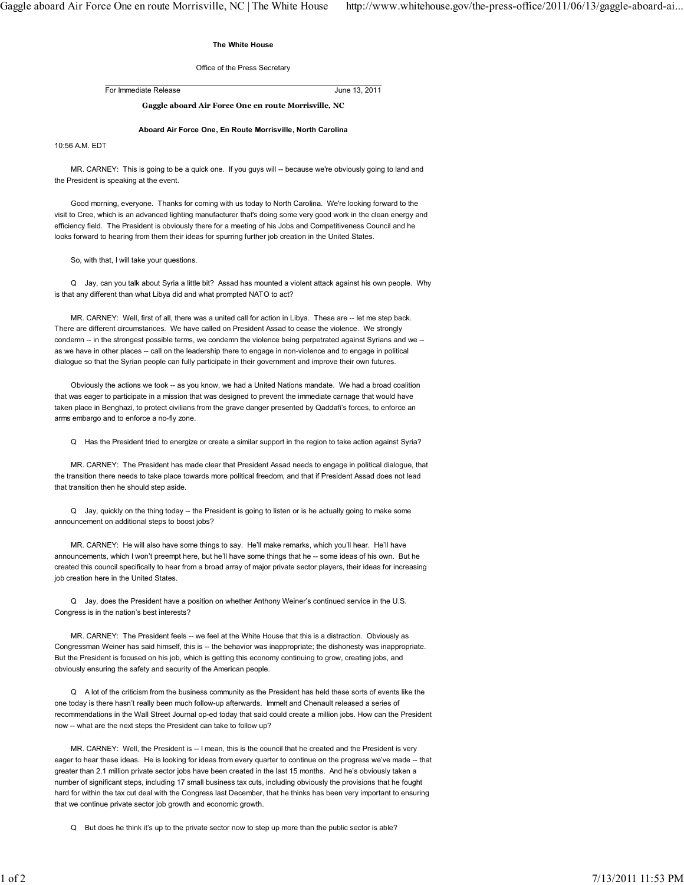## The White House

## Office of the Press Secretary

For Immediate Release June 13, 2011

Gaggle aboard Air Force One en route Morrisville, NC

## Aboard Air Force One, En Route Morrisville, North Carolina

10:56 A.M. EDT

MR. CARNEY: This is going to be a quick one. If you guys will -- because we're obviously going to land and the President is speaking at the event.

 Good morning, everyone. Thanks for coming with us today to North Carolina. We're looking forward to the visit to Cree, which is an advanced lighting manufacturer that's doing some very good work in the clean energy and efficiency field. The President is obviously there for a meeting of his Jobs and Competitiveness Council and he looks forward to hearing from them their ideas for spurring further job creation in the United States.

So, with that, I will take your questions.

 Q Jay, can you talk about Syria a little bit? Assad has mounted a violent attack against his own people. Why is that any different than what Libya did and what prompted NATO to act?

 MR. CARNEY: Well, first of all, there was a united call for action in Libya. These are -- let me step back. There are different circumstances. We have called on President Assad to cease the violence. We strongly condemn -- in the strongest possible terms, we condemn the violence being perpetrated against Syrians and we - as we have in other places -- call on the leadership there to engage in non-violence and to engage in political dialogue so that the Syrian people can fully participate in their government and improve their own futures.

 Obviously the actions we took -- as you know, we had a United Nations mandate. We had a broad coalition that was eager to participate in a mission that was designed to prevent the immediate carnage that would have taken place in Benghazi, to protect civilians from the grave danger presented by Qaddafi's forces, to enforce an arms embargo and to enforce a no-fly zone.

Q Has the President tried to energize or create a similar support in the region to take action against Syria?

 MR. CARNEY: The President has made clear that President Assad needs to engage in political dialogue, that the transition there needs to take place towards more political freedom, and that if President Assad does not lead that transition then he should step aside.

 Q Jay, quickly on the thing today -- the President is going to listen or is he actually going to make some announcement on additional steps to boost jobs?

 MR. CARNEY: He will also have some things to say. He'll make remarks, which you'll hear. He'll have announcements, which I won't preempt here, but he'll have some things that he -- some ideas of his own. But he created this council specifically to hear from a broad array of major private sector players, their ideas for increasing iob creation here in the United States.

 Q Jay, does the President have a position on whether Anthony Weiner's continued service in the U.S. Congress is in the nation's best interests?

 MR. CARNEY: The President feels -- we feel at the White House that this is a distraction. Obviously as Congressman Weiner has said himself, this is -- the behavior was inappropriate; the dishonesty was inappropriate. But the President is focused on his job, which is getting this economy continuing to grow, creating jobs, and obviously ensuring the safety and security of the American people.

 Q A lot of the criticism from the business community as the President has held these sorts of events like the one today is there hasn't really been much follow-up afterwards. Immelt and Chenault released a series of recommendations in the Wall Street Journal op-ed today that said could create a million jobs. How can the President now -- what are the next steps the President can take to follow up?

MR. CARNEY: Well, the President is -- I mean, this is the council that he created and the President is very eager to hear these ideas. He is looking for ideas from every quarter to continue on the progress we've made -- that greater than 2.1 million private sector jobs have been created in the last 15 months. And he's obviously taken a number of significant steps, including 17 small business tax cuts, including obviously the provisions that he fought hard for within the tax cut deal with the Congress last December, that he thinks has been very important to ensuring that we continue private sector job growth and economic growth.

Q But does he think it's up to the private sector now to step up more than the public sector is able?